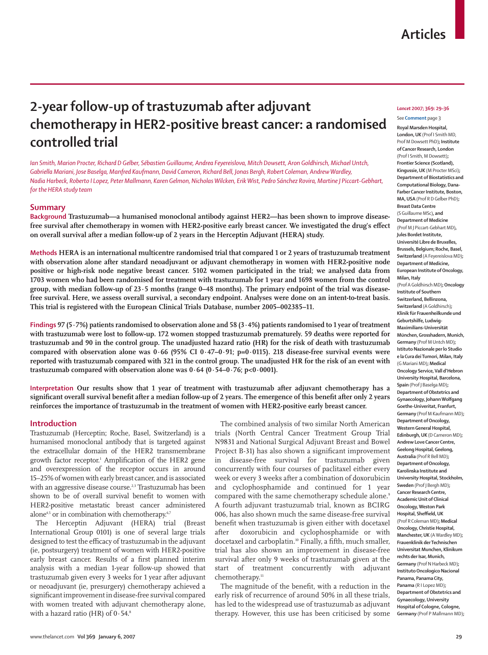# **2-year follow-up of trastuzumab after adjuvant chemotherapy in HER2-positive breast cancer: a randomised controlled trial**

*Ian Smith, Marion Procter, Richard D Gelber, Sébastien Guillaume, Andrea Feyereislova, Mitch Dowsett, Aron Goldhirsch, Michael Untch, Gabriella Mariani, Jose Baselga, Manfred Kaufmann, David Cameron, Richard Bell, Jonas Bergh, Robert Coleman, Andrew Wardley, Nadia Harbeck, Roberto I Lopez, Peter Mallmann, Karen Gelmon, Nicholas Wilcken, Erik Wist, Pedro Sánchez Rovira, Martine J Piccart-Gebhart, for the HERA study team*

## **Summary**

**Background Trastuzumab—a humanised monoclonal antibody against HER2—has been shown to improve disease**free survival after chemotherapy in women with HER2-positive early breast cancer. We investigated the drug's effect **on overall survival after a median follow-up of 2 years in the Herceptin Adjuvant (HERA) study.**

**Methods HERA is an international multicentre randomised trial that compared 1 or 2 years of trastuzumab treatment with observation alone after standard neoadjuvant or adjuvant chemotherapy in women with HER2-positive node positive or high-risk node negative breast cancer. 5102 women participated in the trial; we analysed data from 1703 women who had been randomised for treatment with trastuzumab for 1 year and 1698 women from the control group, with median follow-up of 23·5 months (range 0–48 months). The primary endpoint of the trial was diseasefree survival. Here, we assess overall survival, a secondary endpoint. Analyses were done on an intent-to-treat basis. This trial is registered with the European Clinical Trials Database, number 2005–002385–11.**

**Findings 97 (5·7%) patients randomised to observation alone and 58 (3·4%) patients randomised to 1 year of treatment with trastuzumab were lost to follow-up. 172 women stopped trastuzumab prematurely. 59 deaths were reported for trastuzumab and 90 in the control group. The unadjusted hazard ratio (HR) for the risk of death with trastuzumab compared with observation alone was 0·66 (95% CI 0·47–0·91; p=0·0115). 218 disease-free survival events were reported with trastuzumab compared with 321 in the control group. The unadjusted HR for the risk of an event with trastuzumab compared with observation alone was 0·64 (0·54–0·76; p<0·0001).** 

**Interpretation Our results show that 1 year of treatment with trastuzumab after adjuvant chemotherapy has a**  significant overall survival benefit after a median follow-up of 2 years. The emergence of this benefit after only 2 years **reinforces the importance of trastuzumab in the treatment of women with HER2-positive early breast cancer.** 

## **Introduction**

Trastuzumab (Herceptin; Roche, Basel, Switzerland) is a humanised monoclonal antibody that is targeted against the extracellular domain of the HER2 transmembrane growth factor receptor.<sup>1</sup> Amplification of the HER2 gene and overexpression of the receptor occurs in around 15–25% of women with early breast cancer, and is associated with an aggressive disease course.<sup>2,3</sup> Trastuzumab has been shown to be of overall survival benefit to women with HER2-positive metastatic breast cancer administered alone<sup>4,5</sup> or in combination with chemotherapy.<sup>6,7</sup>

The Herceptin Adjuvant (HERA) trial (Breast International Group 0101) is one of several large trials designed to test the efficacy of trastuzumab in the adjuvant (ie, postsurgery) treatment of women with HER2-positive early breast cancer. Results of a first planned interim analysis with a median 1-year follow-up showed that trastuzumab given every 3 weeks for 1 year after adjuvant or neoadjuvant (ie, presurgery) chemotherapy achieved a significant improvement in disease-free survival compared with women treated with adjuvant chemotherapy alone, with a hazard ratio (HR) of  $0.54$ .<sup>8</sup>

The combined analysis of two similar North American trials (North Central Cancer Treatment Group Trial N9831 and National Surgical Adjuvant Breast and Bowel Project B-31) has also shown a significant improvement in disease-free survival for trastuzumab given concurrently with four courses of paclitaxel either every week or every 3 weeks after a combination of doxorubicin and cyclophosphamide and continued for 1 year compared with the same chemotherapy schedule alone.<sup>9</sup> A fourth adjuvant trastuzumab trial, known as BCIRG 006, has also shown much the same disease-free survival benefit when trastuzumab is given either with docetaxel after doxorubicin and cyclophosphamide or with docetaxel and carboplatin.<sup>10</sup> Finally, a fifth, much smaller, trial has also shown an improvement in disease-free survival after only 9 weeks of trastuzumab given at the start of treatment concurrently with adjuvant chemotherapy.<sup>11</sup>

The magnitude of the benefit, with a reduction in the early risk of recurrence of around 50% in all these trials, has led to the widespread use of trastuzumab as adjuvant therapy. However, this use has been criticised by some

#### *Lancet* **2007; 369: 29–36**

See **Comment** page 3 **Royal Marsden Hospital, London, UK** (Prof I Smith MD, Prof M Dowsett PhD)**; Institute of Cancer Research, London** (Prof I Smith, M Dowsett)**; Frontier Science (Scotland), Kingussie, UK** (M Procter MSci)**; Department of Biostatistics and Computational Biology, Dana-Farber Cancer Institute, Boston, MA, USA** (Prof R D Gelber PhD)**; Breast Data Centre** (S Guillaume MSc)**, and Department of Medicine** (Prof M J Piccart-Gebhart MD)**, Jules Bordet Institute, Université Libre de Bruxelles, Brussels, Belgium; Roche, Basel, Switzerland** (A Feyereislova MD)**; Department of Medicine, European Institute of Oncology, Milan, Italy**  (Prof A Goldhirsch MD)**; Oncology Institute of Southern Switzerland, Bellinzona, Switzerland** (A Goldhirsch)**; Klinik für Frauenheilkunde und Geburtshilfe, Ludwig-Maximilians-Universität München, Grosshadern, Munich, Germany** (Prof M Untch MD)**; Istituto Nazionale per lo Studio e la Cura dei Tumori, Milan, Italy** (G Mariani MD)**; Medical Oncology Service, Vall d'Hebron University Hospital, Barcelona, Spain** (Prof J Baselga MD)**; Department of Obstetrics and Gynaecology, Johann Wolfgang Goethe-Univeritat, Franfurt, Germany** (Prof M Kaufmann MD)**; Department of Oncology, Western General Hospital, Edinburgh, UK** (D Cameron MD)**; Andrew Love Cancer Centre, Geelong Hospital, Geelong, Australia** (Prof R Bell MD)**; Department of Oncology, Karolinska Institute and University Hospital, Stockholm, Sweden** (Prof J Bergh MD)**; Cancer Research Centre, Academic Unit of Clinical Oncology, Weston Park Hospital, Sheffield, UK** (Prof R Coleman MD)**; Medical Oncology, Christie Hospital, Manchester, UK** (A Wardley MD)**; Frauenklinik der Technischen Universitat Munchen, Klinikum rechts der Isar, Munich, Germany** (Prof N Harbeck MD)**; Instituto Oncologico Nacional Panama, Panama City, Panama** (R I Lopez MD)**; Department of Obstetrics and Gynaecology, University Hospital of Cologne, Cologne, Germany** (Prof P Mallmann MD)**;**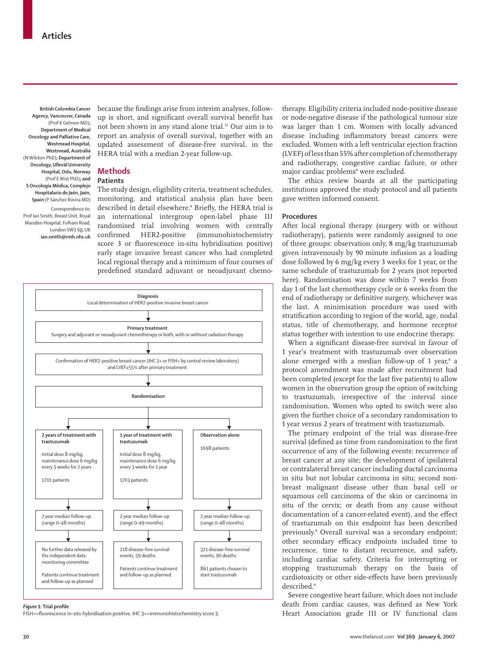**British Columbia Cancer Agency, Vancouver, Canada** (Prof K Gelmon MD)**; Department of Medical Oncology and Palliative Care, Westmead Hospital, Westmead, Australia** (N Wilcken PhD)**; Department of Oncology, Ullevål University Hospital, Oslo, Norway** (Prof E Wist PhD)**; and S Oncología Médica, Complejo Hospitalario de Jaén, Jaén, Spain** (P Sánchez Rovira MD)

Correspondence to: Prof Ian Smith, Breast Unit, Royal Marsden Hospital, Fulham Road, London SW3 6JJ, UK **ian.smith@rmh.nhs.uk**  because the findings arise from interim analyses, followup is short, and significant overall survival benefit has not been shown in any stand alone trial.12 Our aim is to report an analysis of overall survival, together with an updated assessment of disease-free survival, in the HERA trial with a median 2-year follow-up.

## **Methods Patients**

The study design, eligibility criteria, treatment schedules, monitoring, and statistical analysis plan have been described in detail elsewhere. $^{\text{\tiny{8}}}$  Briefly, the HERA trial is an international intergroup open-label phase III randomised trial involving women with centrally confirmed HER2-positive (immunohistochemistry score 3 or fluorescence in-situ hybridisation positive) early stage invasive breast cancer who had completed local regional therapy and a minimum of four courses of predefined standard adjuvant or neoadjuvant chemo-



#### *Figure 1:* Trial profile

FISH+=fluorescence in-situ hybridisation positive. IHC 3+=immunohistochemistry score 3.

therapy. Eligibility criteria included node-positive disease or node-negative disease if the pathological tumour size was larger than 1 cm. Women with locally advanced disease including inflammatory breast cancers were excluded. Women with a left ventricular ejection fraction (LVEF) of less than 55% after completion of chemotherapy and radiotherapy, congestive cardiac failure, or other major cardiac problems<sup>8</sup> were excluded.

The ethics review boards at all the participating institutions approved the study protocol and all patients gave written informed consent.

#### **Procedures**

After local regional therapy (surgery with or without radiotherapy), patients were randomly assigned to one of three groups: observation only, 8 mg/kg trastuzumab given intravenously by 90 minute infusion as a loading dose followed by 6 mg/kg every 3 weeks for 1 year, or the same schedule of trastuzumab for 2 years (not reported here). Randomisation was done within 7 weeks from day 1 of the last chemotherapy cycle or 6 weeks from the end of radiotherapy or definitive surgery, whichever was the last. A minimisation procedure was used with stratification according to region of the world, age, nodal status, title of chemotherapy, and hormone receptor status together with intention to use endocrine therapy.

When a significant disease-free survival in favour of 1 year's treatment with trastuzumab over observation alone emerged with a median follow-up of 1 year, $^8$  a protocol amendment was made after recruitment had been completed (except for the last five patients) to allow women in the observation group the option of switching to trastuzumab, irrespective of the interval since randomisation. Women who opted to switch were also given the further choice of a secondary randomisation to 1 year versus 2 years of treatment with trastuzumab.

The primary endpoint of the trial was disease-free survival (defined as time from randomisation to the first occurrence of any of the following events: recurrence of breast cancer at any site; the development of ipsilateral or contralateral breast cancer including ductal carcinoma in situ but not lobular carcinoma in situ; second nonbreast malignant disease other than basal cell or squamous cell carcinoma of the skin or carcinoma in situ of the cervix; or death from any cause without documentation of a cancer-related event), and the effect of trastuzumab on this endpoint has been described previously.8 Overall survival was a secondary endpoint; other secondary efficacy endpoints included time to recurrence, time to distant recurrence, and safety, including cardiac safety. Criteria for interrupting or stopping trastuzumab therapy on the basis of cardiotoxicity or other side-effects have been previously described.<sup>8</sup>

Severe congestive heart failure, which does not include death from cardiac causes, was defined as New York Heart Association grade III or IV functional class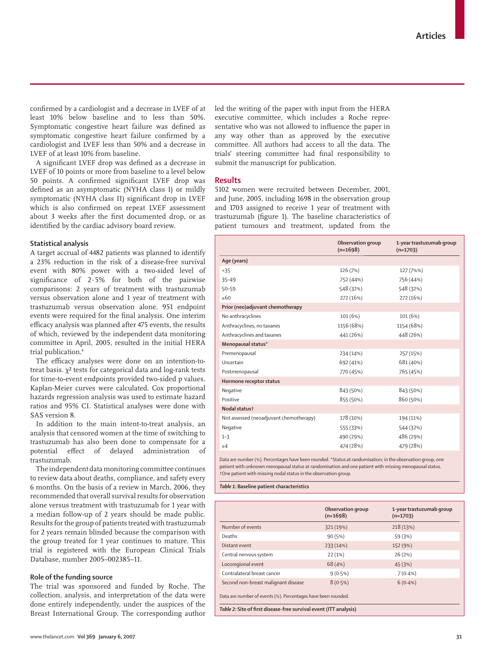confirmed by a cardiologist and a decrease in LVEF of at least 10% below baseline and to less than 50%. Symptomatic congestive heart failure was defined as symptomatic congestive heart failure confirmed by a cardiologist and LVEF less than 50% and a decrease in LVEF of at least 10% from baseline.

A significant LVEF drop was defined as a decrease in LVEF of 10 points or more from baseline to a level below 50 points. A confirmed significant LVEF drop was defined as an asymptomatic (NYHA class I) or mildly symptomatic (NYHA class II) significant drop in LVEF which is also confirmed on repeat LVEF assessment about 3 weeks after the first documented drop, or as identified by the cardiac advisory board review.

#### **Statistical analysis**

A target accrual of 4482 patients was planned to identify a 23% reduction in the risk of a disease-free survival event with 80% power with a two-sided level of significance of  $2.5%$  for both of the pairwise comparisons: 2 years of treatment with trastuzumab versus observation alone and 1 year of treatment with trastuzumab versus observation alone. 951 endpoint events were required for the final analysis. One interim efficacy analysis was planned after 475 events, the results of which, reviewed by the independent data monitoring committee in April, 2005, resulted in the initial HERA trial publication.<sup>8</sup>

The efficacy analyses were done on an intention-totreat basis.  $\chi^2$  tests for categorical data and log-rank tests for time-to-event endpoints provided two-sided p values. Kaplan-Meier curves were calculated. Cox proportional hazards regression analysis was used to estimate hazard ratios and 95% CI. Statistical analyses were done with SAS version 8.

In addition to the main intent-to-treat analysis, an analysis that censored women at the time of switching to trastuzumab has also been done to compensate for a potential effect of delayed administration of trastuzumab.

The independent data monitoring committee continues to review data about deaths, compliance, and safety every 6 months. On the basis of a review in March, 2006, they recommended that overall survival results for observation alone versus treatment with trastuzumab for 1 year with a median follow-up of 2 years should be made public. Results for the group of patients treated with trastuzumab for 2 years remain blinded because the comparison with the group treated for 1 year continues to mature. This trial is registered with the European Clinical Trials Database, number 2005–002385–11.

#### **Role of the funding source**

The trial was sponsored and funded by Roche. The collection, analysis, and interpretation of the data were done entirely independently, under the auspices of the Breast International Group. The corresponding author led the writing of the paper with input from the HERA executive committee, which includes a Roche representative who was not allowed to influence the paper in any way other than as approved by the executive committee. All authors had access to all the data. The trials' steering committee had final responsibility to submit the manuscript for publication.

#### **Results**

5102 women were recruited between December, 2001, and June, 2005, including 1698 in the observation group and 1703 assigned to receive 1 year of treatment with trastuzumab (figure 1). The baseline characteristics of patient tumours and treatment, updated from the

|                                         | Observation group<br>$(n=1698)$ | 1-year trastuzumab group<br>$(n=1703)$ |
|-----------------------------------------|---------------------------------|----------------------------------------|
| Age (years)                             |                                 |                                        |
| < 35                                    | 126 (7%)                        | 127 (7%%)                              |
| $35 - 49$                               | 752 (44%)                       | 756 (44%)                              |
| $50 - 59$                               | 548 (32%)                       | 548 (32%)                              |
| >60                                     | 272 (16%)                       | 272 (16%)                              |
| Prior (neo)adjuvant chemotherapy        |                                 |                                        |
| No anthracyclines                       | 101 (6%)                        | 101 (6%)                               |
| Anthracyclines, no taxanes              | 1156 (68%)                      | 1154 (68%)                             |
| Anthracyclines and taxanes              | 441 (26%)                       | 448 (26%)                              |
| Menopausal status*                      |                                 |                                        |
| Premenopausal                           | 234 (14%)                       | 257 (15%)                              |
| Uncertain                               | 692 (41%)                       | 681 (40%)                              |
| Postmenopausal                          | 770 (45%)                       | 765 (45%)                              |
| Hormone receptor status                 |                                 |                                        |
| Negative                                | 843 (50%)                       | 843 (50%)                              |
| Positive                                | 855 (50%)                       | 860 (50%)                              |
| Nodal status†                           |                                 |                                        |
| Not assessed (neoadjuvant chemotherapy) | 178 (10%)                       | 194 (11%)                              |
| Negative                                | 555 (33%)                       | 544 (32%)                              |
| $1 - 3$                                 | 490 (29%)                       | 486 (29%)                              |
| $\geq 4$                                | 474 (28%)                       | 479 (28%)                              |
|                                         |                                 |                                        |

Data are number (%). Percentages have been rounded. \*Status at randomisation; in the observation group, one patient with unknown menopausal status at randomisation and one patient with missing menopausal status. †One patient with missing nodal status in the observation group.

*Table 1:* **Baseline patient characteristics**

|                                                                   | Observation group<br>$(n=1698)$ | 1-year trastuzumab group<br>$(n=1703)$ |  |
|-------------------------------------------------------------------|---------------------------------|----------------------------------------|--|
| Number of events                                                  | 321 (19%)                       | 218(13%)                               |  |
| Deaths                                                            | 90(5%)                          | 59 (3%)                                |  |
| Distant event                                                     | 233 (14%)                       | 152 (9%)                               |  |
| Central nervous system                                            | 22(1%)                          | 26(2%)                                 |  |
| Locoregional event                                                | 68 (4%)                         | 45 (3%)                                |  |
| Contralateral breast cancer                                       | $9(0.5\%)$                      | $7(0.4\%)$                             |  |
| Second non-breast malignant disease                               | $8(0.5\%)$                      | $6(0.4\%)$                             |  |
| Data are number of events (%). Percentages have been rounded.     |                                 |                                        |  |
| Table 2: Site of first disease-free survival event (ITT analysis) |                                 |                                        |  |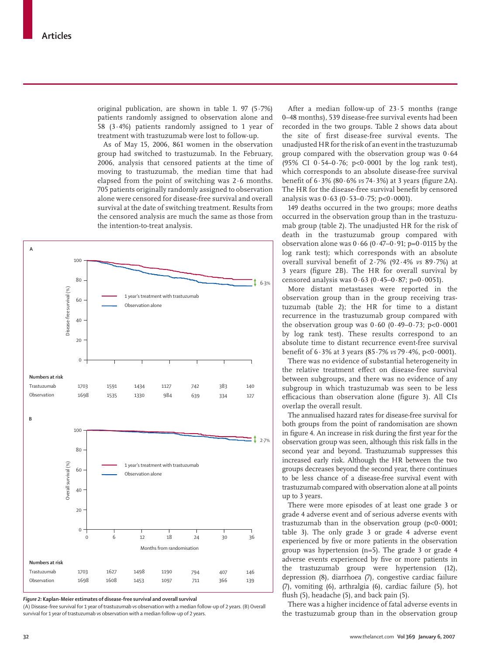original publication, are shown in table 1. 97  $(5.7%)$ patients randomly assigned to observation alone and 58 (3·4%) patients randomly assigned to 1 year of treatment with trastuzumab were lost to follow-up.

As of May 15, 2006, 861 women in the observation group had switched to trastuzumab. In the February, 2006, analysis that censored patients at the time of moving to trastuzumab, the median time that had elapsed from the point of switching was 2·6 months. 705 patients originally randomly assigned to observation alone were censored for disease-free survival and overall survival at the date of switching treatment. Results from the censored analysis are much the same as those from the intention-to-treat analysis.



*Figure 2:* **Kaplan-Meier estimates of disease-free survival and overall survival**

(A) Disease-free survival for 1 year of trastuzumab *vs* observation with a median follow-up of 2 years. (B) Overall survival for 1 year of trastuzumab *vs* observation with a median follow-up of 2 years.

After a median follow-up of  $23.5$  months (range 0–48 months), 539 disease-free survival events had been recorded in the two groups. Table 2 shows data about the site of first disease-free survival events. The unadjusted HR for the risk of an event in the trastuzumab group compared with the observation group was 0·64 (95% CI 0·54–0·76; p<0·0001 by the log rank test), which corresponds to an absolute disease-free survival benefit of 6 · 3% (80 · 6% *vs* 74 · 3%) at 3 years (figure 2A). The HR for the disease-free survival benefit by censored analysis was  $0.63$  ( $0.53-0.75$ ; p< $0.0001$ ).

149 deaths occurred in the two groups; more deaths occurred in the observation group than in the trastuzumab group (table 2). The unadjusted HR for the risk of death in the trastuzumab group compared with observation alone was  $0.66$  ( $0.47-0.91$ ; p= $0.0115$  by the log rank test); which corresponds with an absolute overall survival benefi t of 2·7% (92·4% *vs* 89·7%) at 3 years (figure 2B). The HR for overall survival by censored analysis was  $0.63$  (0.45–0.87; p=0.0051).

More distant metastases were reported in the observation group than in the group receiving trastuzumab (table 2); the HR for time to a distant recurrence in the trastuzumab group compared with the observation group was  $0.60$  ( $0.49 - 0.73$ ;  $p < 0.0001$ by log rank test). These results correspond to an absolute time to distant recurrence event-free survival benefi t of 6·3% at 3 years (85·7% *vs* 79·4%, p<0·0001).

There was no evidence of substantial heterogeneity in the relative treatment effect on disease-free survival between subgroups, and there was no evidence of any subgroup in which trastuzumab was seen to be less efficacious than observation alone (figure 3). All CIs overlap the overall result.

The annualised hazard rates for disease-free survival for both groups from the point of randomisation are shown in figure 4. An increase in risk during the first year for the observation group was seen, although this risk falls in the second year and beyond. Trastuzumab suppresses this increased early risk. Although the HR between the two groups decreases beyond the second year, there continues to be less chance of a disease-free survival event with trastuzumab compared with observation alone at all points up to 3 years.

There were more episodes of at least one grade 3 or grade 4 adverse event and of serious adverse events with trastuzumab than in the observation group  $(p<0.0001;$ table 3). The only grade 3 or grade 4 adverse event experienced by five or more patients in the observation group was hypertension (n=5). The grade 3 or grade 4 adverse events experienced by five or more patients in the trastuzumab group were hypertension (12), depression (8), diarrhoea (7), congestive cardiac failure (7), vomiting (6), arthralgia (6), cardiac failure (5), hot flush  $(5)$ , headache  $(5)$ , and back pain  $(5)$ .

There was a higher incidence of fatal adverse events in the trastuzumab group than in the observation group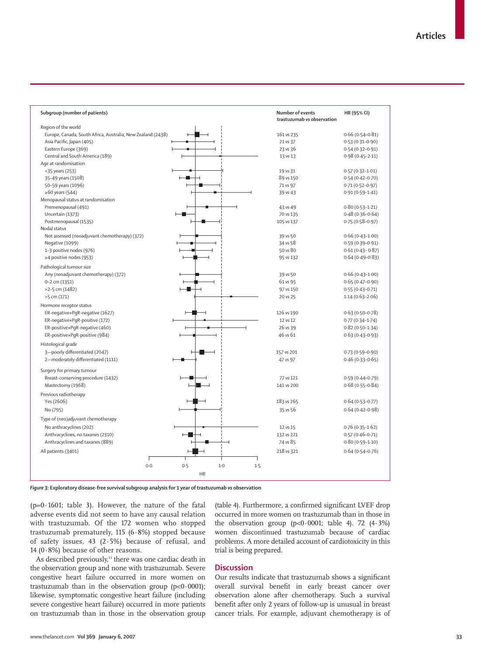| Subgroup (number of patients)                               |                          | Number of events<br>trastuzumab vs observation | HR (95% CI)         |
|-------------------------------------------------------------|--------------------------|------------------------------------------------|---------------------|
| Region of the world                                         |                          |                                                |                     |
| Europe, Canada, South Africa, Australia, New Zealand (2438) |                          | 161 vs 235                                     | $0.66(0.54 - 0.81)$ |
| Asia Pacific, Japan (405)                                   |                          | 21 vs 37                                       | $0.53(0.31 - 0.90)$ |
| Eastern Europe (369)                                        |                          | 23 vs 36                                       | $0.54(0.32 - 0.91)$ |
| Central and South America (189)                             |                          | 13 vs 13                                       | $0.98(0.45 - 2.11)$ |
| Age at randomisation                                        |                          |                                                |                     |
| <35 years (253)                                             |                          | 19 vs 31                                       | $0.57(0.32 - 1.01)$ |
| 35-49 years (1508)                                          |                          | 89 vs 150                                      | $0.54(0.42 - 0.70)$ |
| 50-59 years (1096)                                          |                          | 71 vs 97                                       | $0.71(0.52 - 0.97)$ |
| $\geq 60$ years (544)                                       |                          | 39 vs 43                                       | $0.91(0.59 - 1.41)$ |
| Menopausal status at randomisation                          |                          |                                                |                     |
| Premenopausal (491)                                         |                          | 43 vs 49                                       | $0.80(0.53 - 1.21)$ |
| Uncertain (1373)                                            |                          | 70 vs 135                                      | $0.48(0.36 - 0.64)$ |
| Postmenopausal (1535)                                       |                          | 105 vs 137                                     | $0.75(0.58 - 0.97)$ |
| Nodal status                                                |                          |                                                |                     |
| Not assessed (neoadjuvant chemotherapy) (372)               |                          | 39 vs 50                                       | $0.66(0.43 - 1.00)$ |
| Negative (1099)                                             |                          | 34 vs 58                                       | $0.59(0.39 - 0.91)$ |
| 1-3 positive nodes (976)                                    |                          | 50 vs 80                                       | $0.61(0.43 - 0.87)$ |
| ≥4 positive nodes (953)                                     |                          | 95 vs 132                                      | $0.64(0.49 - 0.83)$ |
| Pathological tumour size                                    |                          |                                                |                     |
| Any (neoadjuvant chemotherapy) (372)                        |                          | 39 vs 50                                       | $0.66(0.43 - 1.00)$ |
| 0-2 cm (1351)                                               |                          | 61 vs 95                                       | $0.65(0.47 - 0.90)$ |
| >2-5 cm (1482)                                              | -8                       | 97 vs 150                                      | $0.55(0.43 - 0.71)$ |
| >5 cm (171)                                                 |                          | 20 vs 25                                       | $1.14(0.63 - 2.06)$ |
| Hormone receptor status                                     |                          |                                                |                     |
| ER-negative×PgR-negative (1627)                             |                          | 126 vs 190                                     | $0.63(0.50-0.78)$   |
| ER-negative×PgR-positive (172)                              |                          | 12 vs 12                                       | $0.77(0.34 - 1.74)$ |
| ER-positive×PqR-negative (460)                              |                          | 26 vs 39                                       | $0.82(0.50-1.34)$   |
| ER-positive×PgR-positive (984)                              |                          | 46 vs 61                                       | $0.63(0.43 - 0.93)$ |
|                                                             |                          |                                                |                     |
| Histological grade                                          |                          |                                                |                     |
| 3-poorly differentiated (2047)                              |                          | 157 vs 201                                     | $0.73(0.59 - 0.90)$ |
| 2-moderately differentiated (1111)                          |                          | 47 vs 97                                       | $0.46(0.33 - 0.65)$ |
| Surgery for primary tumour                                  |                          |                                                |                     |
| Breast-conserving procedure (1432)                          |                          | 77 vs 121                                      | $0.59(0.44 - 0.79)$ |
| Mastectomy (1968)                                           |                          | 141 vs 200                                     | $0.68(0.55 - 0.84)$ |
| Previous radiotherapy                                       |                          |                                                |                     |
| Yes (2606)                                                  |                          | 183 vs 265                                     | $0.64(0.53 - 0.77)$ |
| No (795)                                                    |                          | 35 vs 56                                       | $0.64(0.42 - 0.98)$ |
|                                                             |                          |                                                |                     |
| Type of (neo)adjuvant chemotherapy                          |                          |                                                |                     |
| No anthracyclines (202)                                     |                          | 12 vs 15                                       | $0.76(0.35 - 1.62)$ |
| Anthracyclines, no taxanes (2310)                           | $\overline{\phantom{a}}$ | 132 vs 221                                     | $0.57(0.46 - 0.71)$ |
| Anthracyclines and taxanes (889)                            |                          | 74 vs 85                                       | $0.80(0.59 - 1.10)$ |
| All patients (3401)                                         |                          | 218 vs 321                                     | $0.64(0.54 - 0.76)$ |
|                                                             |                          |                                                |                     |
| 0.0                                                         | 1.5<br>0.5<br>$1-0$      |                                                |                     |
|                                                             | <b>HR</b>                |                                                |                     |

*Figure 3:* **Exploratory disease-free survival subgroup analysis for 1 year of trastuzumab** *vs* **observation**

 $(p=0.1601;$  table 3). However, the nature of the fatal adverse events did not seem to have any causal relation with trastuzumab. Of the 172 women who stopped trastuzumab prematurely, 115 (6·8%) stopped because of safety issues, 43 (2·5%) because of refusal, and 14 (0 $\cdot$ 8%) because of other reasons.

As described previously,<sup>13</sup> there was one cardiac death in the observation group and none with trastuzumab. Severe congestive heart failure occurred in more women on trastuzumab than in the observation group (p<0·0001); likewise, symptomatic congestive heart failure (including severe congestive heart failure) occurred in more patients on trastuzumab than in those in the observation group (table 4). Furthermore, a confirmed significant LVEF drop occurred in more women on trastuzumab than in those in the observation group  $(p<0.0001;$  table 4). 72  $(4.3%)$ women discontinued trastuzumab because of cardiac problems. A more detailed account of cardiotoxicity in this trial is being prepared.

## **Discussion**

Our results indicate that trastuzumab shows a significant overall survival benefit in early breast cancer over observation alone after chemotherapy. Such a survival benefit after only 2 years of follow-up is unusual in breast cancer trials. For example, adjuvant chemotherapy is of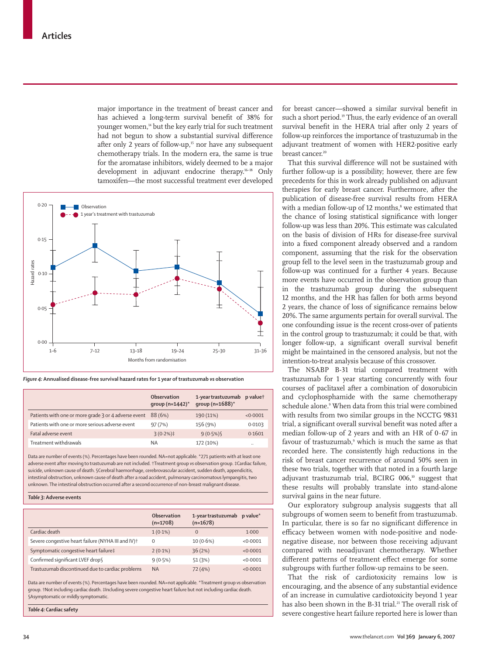major importance in the treatment of breast cancer and has achieved a long-term survival benefit of 38% for younger women,<sup>14</sup> but the key early trial for such treatment had not begun to show a substantial survival difference after only 2 years of follow-up,<sup>15</sup> nor have any subsequent chemotherapy trials. In the modern era, the same is true for the aromatase inhibitors, widely deemed to be a major development in adjuvant endocrine therapy.16–18 Only tamoxifen—the most successful treatment ever developed



*Figure 4:* **Annualised disease-free survival hazard rates for 1 year of trastuzumab** *vs* **observation**

|                                                      | Observation<br>group $(n=1442)^*$ | 1-year trastuzumab p valuet<br>group ( $n = 1688$ )* |                      |
|------------------------------------------------------|-----------------------------------|------------------------------------------------------|----------------------|
| Patients with one or more grade 3 or 4 adverse event | 88 (6%)                           | 190 (11%)                                            | < 0.0001             |
| Patients with one or more serious adverse event      | 97(7%)                            | 156 (9%)                                             | 0.0103               |
| Fatal adverse event                                  | $3(0.2%)\ddagger$                 | $9(0.5\%)$                                           | 0.1601               |
| Treatment withdrawals                                | <b>NA</b>                         | 172 (10%)                                            | $\ddot{\phantom{0}}$ |

Data are number of events (%). Percentages have been rounded. NA=not applicable. \*271 patients with at least one adverse event after moving to trastuzumab are not included. †Treatment group *vs* observation group. ‡Cardiac failure, suicide, unknown cause of death. §Cerebral haemorrhage, cerebrovascular accident, sudden death, appendicitis, intestinal obstruction, unknown cause of death after a road accident, pulmonary carcinomatous lympangitis, two unknown. The intestinal obstruction occurred after a second occurrence of non-breast malignant disease.

#### *Table 3:* **Adverse events**

|                                                                | Observation<br>$(n=1708)$ | 1-year trastuzumab<br>$(n=1678)$ | $p$ value $*$ |
|----------------------------------------------------------------|---------------------------|----------------------------------|---------------|
| Cardiac death                                                  | $1(0.1\%)$                | $\Omega$                         | 1.000         |
| Severe congestive heart failure (NYHA III and IV) <sup>+</sup> | $\Omega$                  | $10(0.6\%)$                      | < 0.0001      |
| Symptomatic congestive heart failure‡                          | $2(0.1\%)$                | 36(2%)                           | < 0.0001      |
| Confirmed significant LVEF drop§                               | $9(0.5\%)$                | 51 (3%)                          | < 0.0001      |
| Trastuzumab discontinued due to cardiac problems               | <b>NA</b>                 | 72 (4%)                          | < 0.0001      |

Data are number of events (%). Percentages have been rounded. NA=not applicable. \*Treatment group *vs* observation group. †Not including cardiac death. ‡Including severe congestive heart failure but not including cardiac death. §Asymptomatic or mildly symptomatic.

*Table 4:* **Cardiac safety**

for breast cancer—showed a similar survival benefit in such a short period.<sup>19</sup> Thus, the early evidence of an overall survival benefit in the HERA trial after only 2 years of follow-up reinforces the importance of trastuzumab in the adjuvant treatment of women with HER2-positive early breast cancer.<sup>20</sup>

That this survival difference will not be sustained with further follow-up is a possibility; however, there are few precedents for this in work already published on adjuvant therapies for early breast cancer. Furthermore, after the publication of disease-free survival results from HERA with a median follow-up of  $12$  months, $\delta$  we estimated that the chance of losing statistical significance with longer follow-up was less than 20%. This estimate was calculated on the basis of division of HRs for disease-free survival into a fixed component already observed and a random component, assuming that the risk for the observation group fell to the level seen in the trastuzumab group and follow-up was continued for a further 4 years. Because more events have occurred in the observation group than in the trastuzumab group during the subsequent 12 months, and the HR has fallen for both arms beyond 2 years, the chance of loss of significance remains below 20%. The same arguments pertain for overall survival. The one confounding issue is the recent cross-over of patients in the control group to trastuzumab; it could be that, with longer follow-up, a significant overall survival benefit might be maintained in the censored analysis, but not the intention-to-treat analysis because of this crossover.

The NSABP B-31 trial compared treatment with trastuzumab for 1 year starting concurrently with four courses of paclitaxel after a combination of doxorubicin and cyclophosphamide with the same chemotherapy schedule alone.9 When data from this trial were combined with results from two similar groups in the NCCTG 9831 trial, a significant overall survival benefit was noted after a median follow-up of 2 years and with an HR of 0·67 in favour of trastuzumab,<sup>9</sup> which is much the same as that recorded here. The consistently high reductions in the risk of breast cancer recurrence of around 50% seen in these two trials, together with that noted in a fourth large adjuvant trastuzumab trial, BCIRG 006,10 suggest that these results will probably translate into stand-alone survival gains in the near future.

Our exploratory subgroup analysis suggests that all subgroups of women seem to benefit from trastuzumab. In particular, there is so far no significant difference in efficacy between women with node-positive and nodenegative disease, nor between those receiving adjuvant compared with neoadjuvant chemotherapy. Whether different patterns of treatment effect emerge for some subgroups with further follow-up remains to be seen.

That the risk of cardiotoxicity remains low is encouraging, and the absence of any substantial evidence of an increase in cumulative cardiotoxicity beyond 1 year has also been shown in the B-31 trial.<sup>21</sup> The overall risk of severe congestive heart failure reported here is lower than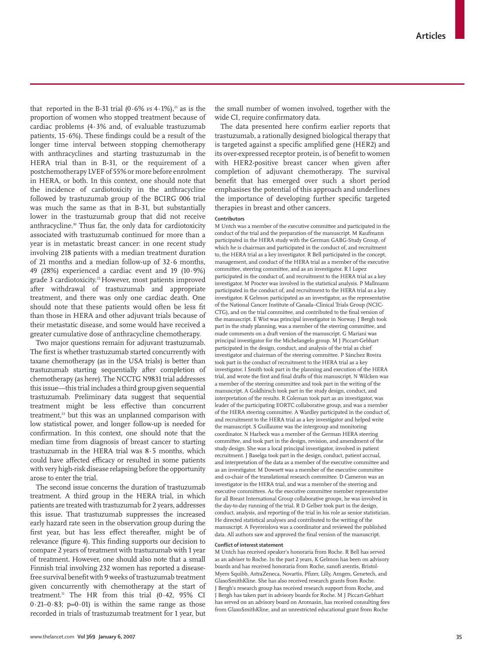that reported in the B-31 trial  $(0.6\% \text{ vs } 4.1\%).$ <sup>21</sup> as is the proportion of women who stopped treatment because of cardiac problems (4·3% and, of evaluable trastuzumab patients,  $15.6\%$ ). These findings could be a result of the longer time interval between stopping chemotherapy with anthracyclines and starting trastuzumab in the HERA trial than in B-31, or the requirement of a postchemotherapy LVEF of 55% or more before enrolment in HERA, or both. In this context, one should note that the incidence of cardiotoxicity in the anthracycline followed by trastuzumab group of the BCIRG 006 trial was much the same as that in B-31, but substantially lower in the trastuzumab group that did not receive anthracycline.10 Thus far, the only data for cardiotoxicity associated with trastuzumab continued for more than a year is in metastatic breast cancer: in one recent study involving 218 patients with a median treatment duration of 21 months and a median follow-up of 32·6 months, 49 (28%) experienced a cardiac event and 19 (10·9%) grade 3 cardiotoxicity.<sup>22</sup> However, most patients improved after withdrawal of trastuzumab and appropriate treatment, and there was only one cardiac death. One should note that these patients would often be less fit than those in HERA and other adjuvant trials because of their metastatic disease, and some would have received a greater cumulative dose of anthracycline chemotherapy.

Two major questions remain for adjuvant trastuzumab. The first is whether trastuzumab started concurrently with taxane chemotherapy (as in the USA trials) is better than trastuzumab starting sequentially after completion of chemotherapy (as here). The NCCTG N9831 trial addresses this issue—this trial includes a third group given sequential trastuzumab. Preliminary data suggest that sequential treatment might be less effective than concurrent treatment,<sup>23</sup> but this was an unplanned comparison with low statistical power, and longer follow-up is needed for confirmation. In this context, one should note that the median time from diagnosis of breast cancer to starting trastuzumab in the HERA trial was 8·5 months, which could have affected efficacy or resulted in some patients with very high-risk disease relapsing before the opportunity arose to enter the trial.

The second issue concerns the duration of trastuzumab treatment. A third group in the HERA trial, in which patients are treated with trastuzumab for 2 years, addresses this issue. That trastuzumab suppresses the increased early hazard rate seen in the observation group during the first year, but has less effect thereafter, might be of relevance (figure 4). This finding supports our decision to compare 2 years of treatment with trastuzumab with 1 year of treatment. However, one should also note that a small Finnish trial involving 232 women has reported a diseasefree survival benefit with 9 weeks of trastuzumab treatment given concurrently with chemotherapy at the start of treatment.<sup>11</sup> The HR from this trial (0.42, 95% CI  $0.21-0.83$ ;  $p=0.01$ ) is within the same range as those recorded in trials of trastuzumab treatment for 1 year, but the small number of women involved, together with the wide CI, require confirmatory data.

The data presented here confirm earlier reports that trastuzumab, a rationally designed biological therapy that is targeted against a specific amplified gene (HER2) and its over-expressed receptor protein, is of benefit to women with HER2-positive breast cancer when given after completion of adjuvant chemotherapy. The survival benefit that has emerged over such a short period emphasises the potential of this approach and underlines the importance of developing further specific targeted therapies in breast and other cancers.

#### **Contributors**

M Untch was a member of the executive committee and participated in the conduct of the trial and the preparation of the manuscript. M Kaufmann participated in the HERA study with the German GABG-Study Group, of which he is chairman and participated in the conduct of, and recruitment to, the HERA trial as a key investigator. R Bell participated in the concept, management, and conduct of the HERA trial as a member of the executive committee, steering committee, and as an investigator. R I Lopez participated in the conduct of, and recruitment to the HERA trial as a key investigator. M Procter was involved in the statistical analysis. P Mallmann participated in the conduct of, and recruitment to the HERA trial as a key investigator. K Gelmon participated as an investigator, as the representative of the National Cancer Institute of Canada–Clinical Trials Group (NCIC-CTG), and on the trial committee, and contributed to the final version of the manuscript. E Wist was principal investigator in Norway. J Bergh took part in the study planning, was a member of the steering committee, and made comments on a draft version of the manuscript. G Mariani was principal investigator for the Michelangelo group. M J Piccart-Gebhart participated in the design, conduct, and analysis of the trial as chief investigator and chairman of the steering committee. P Sánchez Rovira took part in the conduct of recruitment to the HERA trial as a key investigator. I Smith took part in the planning and execution of the HERA trial, and wrote the first and final drafts of this manuscript. N Wilcken was a member of the steering committee and took part in the writing of the manuscript. A Goldhirsch took part in the study design, conduct, and interpretation of the results. R Coleman took part as an investigator, was leader of the participating EORTC collaborative group, and was a member of the HERA steering committee. A Wardley participated in the conduct of, and recruitment to the HERA trial as a key investigator and helped write the manuscript. S Guillaume was the intergroup and monitoring coordinator. N Harbeck was a member of the German HERA steering committee, and took part in the design, revision, and amendment of the study design. She was a local principal investigator, involved in patient recruitment. J Baselga took part in the design, conduct, patient accrual, and interpretation of the data as a member of the executive committee and as an investigator. M Dowsett was a member of the executive committee and co-chair of the translational research committee. D Cameron was an investigator in the HERA trial, and was a member of the steering and executive committees. As the executive committee member representative for all Breast International Group collaborative groups, he was involved in the day-to-day running of the trial. R D Gelber took part in the design, conduct, analysis, and reporting of the trial in his role as senior statistician. He directed statistical analyses and contributed to the writing of the manuscript. A Feyereislova was a coordinator and reviewed the published data. All authors saw and approved the final version of the manuscript.

#### **Confl ict of interest statement**

M Untch has received speaker's honoraria from Roche. R Bell has served as an adviser to Roche. In the past 2 years, K Gelmon has been on advisory boards and has received honoraria from Roche, sanofi aventis, Bristol-Myers Squibb, AstraZeneca, Novartis, Pfizer, Lilly, Amgen, Genetech, and GlaxoSmithKline. She has also received research grants from Roche. J Bergh's research group has received research support from Roche, and J Bergh has taken part in advisory boards for Roche. M J Piccart-Gebhart has served on an advisory board on Aromasin, has received consulting fees from GlaxoSmithKline, and an unrestricted educational grant from Roche